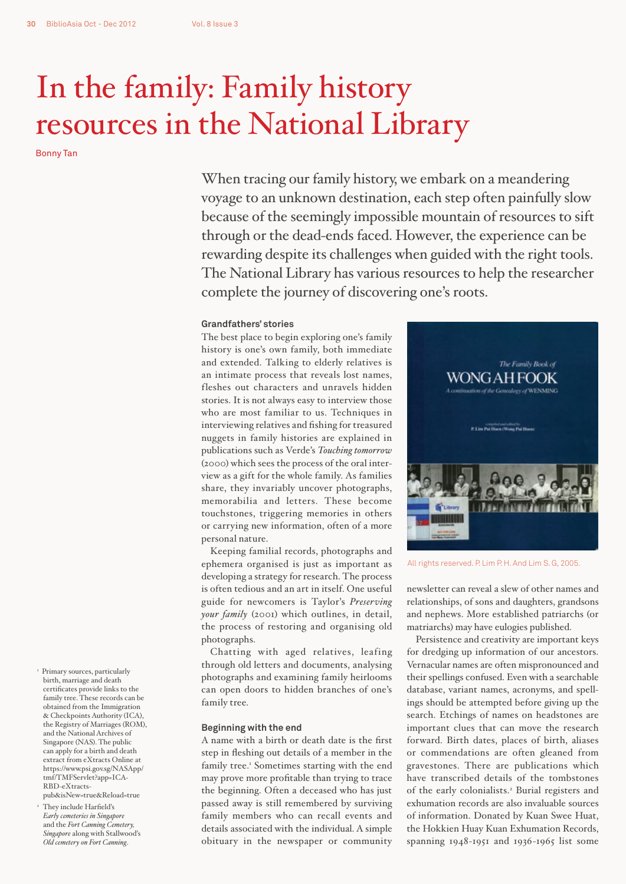# In the family: Family history resources in the National Library

Bonny Tan

When tracing our family history, we embark on a meandering voyage to an unknown destination, each step often painfully slow because of the seemingly impossible mountain of resources to sift through or the dead-ends faced. However, the experience can be rewarding despite its challenges when guided with the right tools. The National Library has various resources to help the researcher complete the journey of discovering one's roots.

# **Grandfathers' stories**

The best place to begin exploring one's family history is one's own family, both immediate and extended. Talking to elderly relatives is an intimate process that reveals lost names, fleshes out characters and unravels hidden stories. It is not always easy to interview those who are most familiar to us. Techniques in interviewing relatives and fishing for treasured nuggets in family histories are explained in publications such as Verde's *Touching tomorrow* (2000) which sees the process of the oral interview as a gift for the whole family. As families share, they invariably uncover photographs, memorabilia and letters. These become touchstones, triggering memories in others or carrying new information, often of a more personal nature.

Keeping familial records, photographs and ephemera organised is just as important as developing a strategy for research. The process is often tedious and an art in itself. One useful guide for newcomers is Taylor's *Preserving your family* (2001) which outlines, in detail, the process of restoring and organising old photographs.

Chatting with aged relatives, leafing through old letters and documents, analysing photographs and examining family heirlooms can open doors to hidden branches of one's family tree.

### **Beginning with the end**

A name with a birth or death date is the first step in fleshing out details of a member in the family tree.<sup>1</sup> Sometimes starting with the end may prove more profitable than trying to trace the beginning. Often a deceased who has just passed away is still remembered by surviving family members who can recall events and details associated with the individual. A simple obituary in the newspaper or community



All rights reserved. P. Lim P. H. And Lim S. G, 2005.

newsletter can reveal a slew of other names and relationships, of sons and daughters, grandsons and nephews. More established patriarchs (or matriarchs) may have eulogies published.

Persistence and creativity are important keys for dredging up information of our ancestors. Vernacular names are often mispronounced and their spellings confused. Even with a searchable database, variant names, acronyms, and spellings should be attempted before giving up the search. Etchings of names on headstones are important clues that can move the research forward. Birth dates, places of birth, aliases or commendations are often gleaned from gravestones. There are publications which have transcribed details of the tombstones of the early colonialists.<sup>2</sup> Burial registers and exhumation records are also invaluable sources of information. Donated by Kuan Swee Huat, the Hokkien Huay Kuan Exhumation Records, spanning 1948-1951 and 1936-1965 list some

- 1 Primary sources, particularly birth, marriage and death certificates provide links to the family tree. These records can be obtained from the Immigration & Checkpoints Authority (ICA), the Registry of Marriages (ROM), and the National Archives of Singapore (NAS). The public can apply for a birth and death extract from eXtracts Online at https://www.psi.gov.sg/NASApp/ tmf/TMFServlet?app=ICA-RBD-eXtractspub&isNew=true&Reload=true
- 2 They include Harfield's *Early cemeteries in Singapore*  and the *Fort Canning Cemetery, Singapore* along with Stallwood's *Old cemetery on Fort Canning*.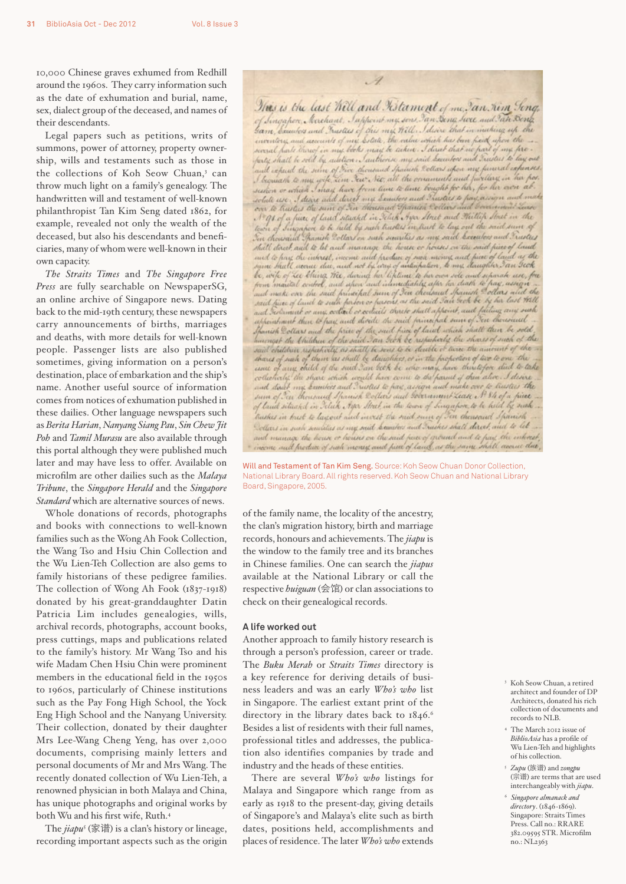10,000 Chinese graves exhumed from Redhill around the 1960s. They carry information such as the date of exhumation and burial, name, sex, dialect group of the deceased, and names of their descendants.

Legal papers such as petitions, writs of summons, power of attorney, property ownership, wills and testaments such as those in the collections of Koh Seow Chuan,<sup>3</sup> can throw much light on a family's genealogy. The handwritten will and testament of well-known philanthropist Tan Kim Seng dated 1862, for example, revealed not only the wealth of the deceased, but also his descendants and beneficiaries, many of whom were well-known in their own capacity.

*The Straits Times* and *The Singapore Free Press* are fully searchable on NewspaperSG, an online archive of Singapore news. Dating back to the mid-19th century, these newspapers carry announcements of births, marriages and deaths, with more details for well-known people. Passenger lists are also published sometimes, giving information on a person's destination, place of embarkation and the ship's name. Another useful source of information comes from notices of exhumation published in these dailies. Other language newspapers such as *Berita Harian*, *Nanyang Siang Pau*, *Sin Chew Jit Poh* and *Tamil Murasu* are also available through this portal although they were published much later and may have less to offer. Available on microfilm are other dailies such as the *Malaya Tribune*, the *Singapore Herald* and the *Singapore Standard* which are alternative sources of news.

Whole donations of records, photographs and books with connections to well-known families such as the Wong Ah Fook Collection, the Wang Tso and Hsiu Chin Collection and the Wu Lien-Teh Collection are also gems to family historians of these pedigree families. The collection of Wong Ah Fook (1837-1918) donated by his great-granddaughter Datin Patricia Lim includes genealogies, wills, archival records, photographs, account books, press cuttings, maps and publications related to the family's history. Mr Wang Tso and his wife Madam Chen Hsiu Chin were prominent members in the educational field in the 1950s to 1960s, particularly of Chinese institutions such as the Pay Fong High School, the Yock Eng High School and the Nanyang University. Their collection, donated by their daughter Mrs Lee-Wang Cheng Yeng, has over 2,000 documents, comprising mainly letters and personal documents of Mr and Mrs Wang. The recently donated collection of Wu Lien-Teh, a renowned physician in both Malaya and China, has unique photographs and original works by both Wu and his first wife, Ruth.4

The *jiapu*<sup>5</sup> (家谱) is a clan's history or lineage, recording important aspects such as the origin

This is the tast med and Resident of me, an Simpson New Same,<br>of Singapore, Recehant, Sappoint my sons Ian Sang since and Ian Song<br>same bounders and Institus of this mix Will. I discuss that in making up the<br>inventory and and repend the sum of Five thousand Indian Collars whou my funeral refunses.<br>I bequeath to my wife Lim Tew Net, all the omaments and furillery in her pos. I bequeath to my wife sim Jew Net, all the ornamilis and facture, we has for<br>seen or which I may have from time to lime bought for her, for her over ab-<br>solute use. I desire and direct my Somitors and Trustees to fine, ass I'm ge of a fuel of land situated in Ithek Ayel Atrico and Heiltin Atrico in the<br>town of Singaport to be held by such trieders in trust to lay out the said sum of Tin chowaid Spanish Rollar on such swarities as my said Executors and Trustees shill dorch, and to let and manage the house or houses on the said piece of land that do to find the case of the country the house of moths on the said pure of land and the same that the same<br>same that I are use the internet and produce of mode money and piece of land<br>same that I are use the model of t appointment then to pay and divide the said principal sum of You thousand appears were then to hay and devide the said paint paint had shall then be sold.<br>I having the khildren of the said I an Irch be respectedly the shores of such of the<br>said children respectively as shall be seen to be deeble collectively, the shave which would have come to the mail and alive. I desire<br>and diact my knowless and Irustes to hay assign and make over to trustees the<br>sum of Ien thousand s franch 2 otters and sovernment zease of 8 h traskes in trust to lag out and invest the said sum of Fin theresand Spanish Dollars in such securities as my said beautors and Truskes shall direct, and to let and manage the house or houses on the said pace of ground and to pay, the inhorst.<br>income and produce of such money and piece of land, as the same shall accrue due,

 $\mathscr A$ 

This is the last Will and Kitament of me. Jan. Kim Song,

Will and Testament of Tan Kim Seng. Source: Koh Seow Chuan Donor Collection, National Library Board. All rights reserved. Koh Seow Chuan and National Library Board, Singapore, 2005.

of the family name, the locality of the ancestry, the clan's migration history, birth and marriage records, honours and achievements. The *jiapu* is the window to the family tree and its branches in Chinese families. One can search the *jiapus* available at the National Library or call the respective *huiguan* (会馆) or clan associations to check on their genealogical records.

# **A life worked out**

Another approach to family history research is through a person's profession, career or trade. The *Buku Merah* or *Straits Times* directory is a key reference for deriving details of business leaders and was an early *Who's who* list in Singapore. The earliest extant print of the directory in the library dates back to  $1846$ .<sup>6</sup> Besides a list of residents with their full names, professional titles and addresses, the publication also identifies companies by trade and industry and the heads of these entities.

There are several *Who's who* listings for Malaya and Singapore which range from as early as 1918 to the present-day, giving details of Singapore's and Malaya's elite such as birth dates, positions held, accomplishments and places of residence. The later *Who's who* extends

- 3 Koh Seow Chuan, a retired architect and founder of DP Architects, donated his rich collection of documents and records to NLB.
- 4 The March 2012 issue of *BiblioAsia* has a profile of Wu Lien-Teh and highlights of his collection.
- <sup>5</sup>*Zupu* (族谱) and *zongpu* (宗谱) are terms that are used interchangeably with *jiapu*.
- <sup>6</sup>*Singapore almanack and directory*. (1846-1869). Singapore: Straits Times Press. Call no.: RRARE 382.09595 STR. Microfilm no.: NL2363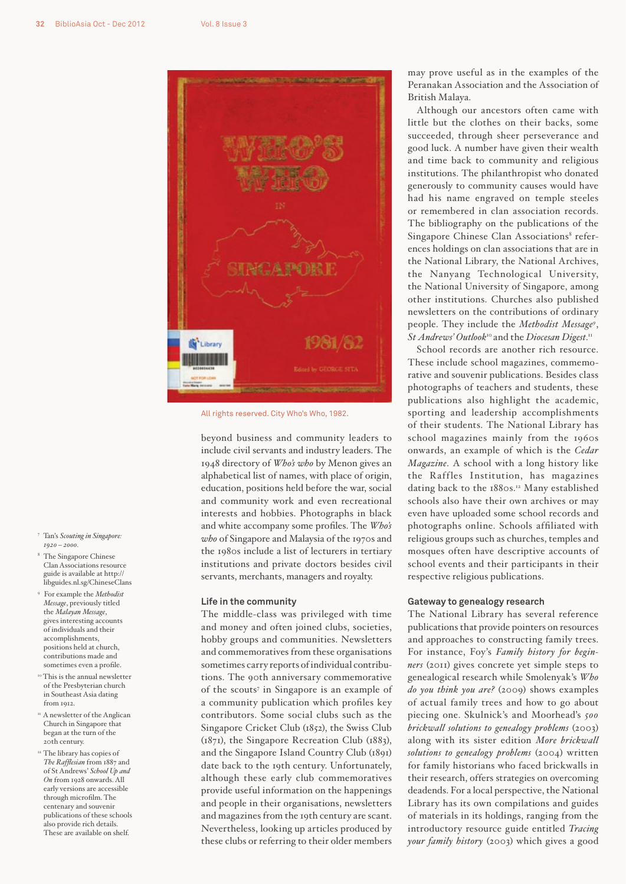

All rights reserved. City Who's Who, 1982.

beyond business and community leaders to include civil servants and industry leaders. The 1948 directory of *Who's who* by Menon gives an alphabetical list of names, with place of origin, education, positions held before the war, social and community work and even recreational interests and hobbies. Photographs in black and white accompany some profiles. The *Who's who* of Singapore and Malaysia of the 1970s and the 1980s include a list of lecturers in tertiary institutions and private doctors besides civil servants, merchants, managers and royalty.

## **Life in the community**

The middle-class was privileged with time and money and often joined clubs, societies, hobby groups and communities. Newsletters and commemoratives from these organisations sometimes carry reports of individual contributions. The 90th anniversary commemorative of the scouts<sup>7</sup> in Singapore is an example of a community publication which profiles key contributors. Some social clubs such as the Singapore Cricket Club (1852), the Swiss Club (1871), the Singapore Recreation Club (1883), and the Singapore Island Country Club (1891) date back to the 19th century. Unfortunately, although these early club commemoratives provide useful information on the happenings and people in their organisations, newsletters and magazines from the 19th century are scant. Nevertheless, looking up articles produced by these clubs or referring to their older members

may prove useful as in the examples of the Peranakan Association and the Association of British Malaya.

Although our ancestors often came with little but the clothes on their backs, some succeeded, through sheer perseverance and good luck. A number have given their wealth and time back to community and religious institutions. The philanthropist who donated generously to community causes would have had his name engraved on temple steeles or remembered in clan association records. The bibliography on the publications of the Singapore Chinese Clan Associations<sup>8</sup> references holdings on clan associations that are in the National Library, the National Archives, the Nanyang Technological University, the National University of Singapore, among other institutions. Churches also published newsletters on the contributions of ordinary people. They include the *Methodist Message9* , *St Andrews' Outlook*10 and the *Diocesan Digest*. 11

School records are another rich resource. These include school magazines, commemorative and souvenir publications. Besides class photographs of teachers and students, these publications also highlight the academic, sporting and leadership accomplishments of their students. The National Library has school magazines mainly from the 1960s onwards, an example of which is the *Cedar Magazine*. A school with a long history like the Raffles Institution, has magazines dating back to the 1880s.<sup>12</sup> Many established schools also have their own archives or may even have uploaded some school records and photographs online. Schools affiliated with religious groups such as churches, temples and mosques often have descriptive accounts of school events and their participants in their respective religious publications.

# **Gateway to genealogy research**

The National Library has several reference publications that provide pointers on resources and approaches to constructing family trees. For instance, Foy's *Family history for beginners* (2011) gives concrete yet simple steps to genealogical research while Smolenyak's *Who do you think you are?* (2009) shows examples of actual family trees and how to go about piecing one. Skulnick's and Moorhead's *500 brickwall solutions to genealogy problems* (2003) along with its sister edition *More brickwall solutions to genealogy problems* (2004) written for family historians who faced brickwalls in their research, offers strategies on overcoming deadends. For a local perspective, the National Library has its own compilations and guides of materials in its holdings, ranging from the introductory resource guide entitled *Tracing your family history* (2003) which gives a good

- 7 Tan's *Scouting in Singapore: 1920 – 2000.*
- 8 The Singapore Chinese Clan Associations resource guide is available at http:// libguides.nl.sg/ChineseClans
- 9 For example the *Methodist Message*, previously titled the *Malayan Message*, gives interesting accounts of individuals and their accomplishments, positions held at church, contributions made and sometimes even a profile.
- <sup>10</sup> This is the annual newsletter of the Presbyterian church in Southeast Asia dating from 1912.
- <sup>11</sup> A newsletter of the Anglican Church in Singapore that began at the turn of the 20th century.
- <sup>12</sup> The library has copies of *The Rafflesian* from 1887 and of St Andrews' *School Up and On* from 1928 onwards. All early versions are accessible through microfilm. The centenary and souvenir publications of these schools also provide rich details. These are available on shelf.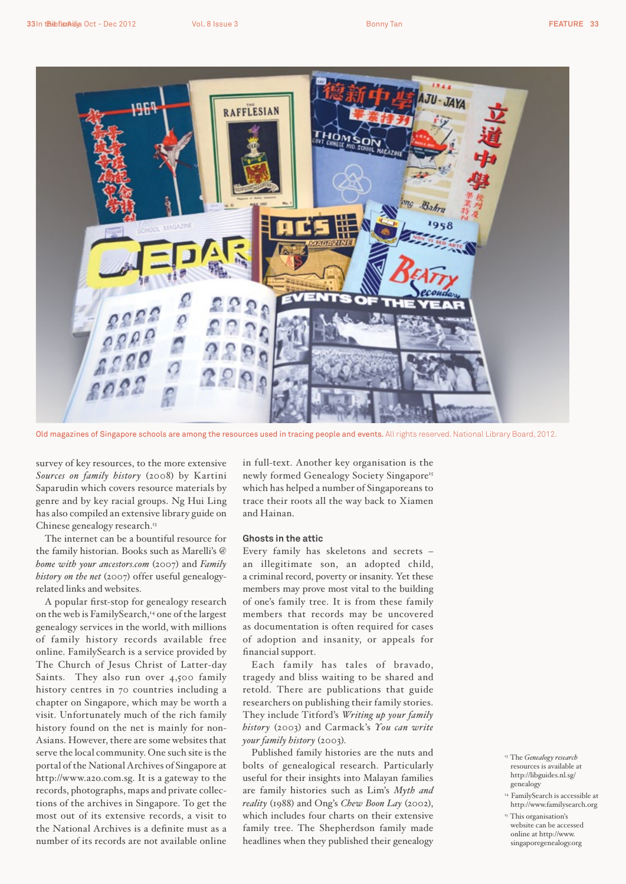

Old magazines of Singapore schools are among the resources used in tracing people and events. All rights reserved. National Library Board, 2012.

survey of key resources, to the more extensive *Sources on family history* (2008) by Kartini Saparudin which covers resource materials by genre and by key racial groups. Ng Hui Ling has also compiled an extensive library guide on Chinese genealogy research.<sup>13</sup>

The internet can be a bountiful resource for the family historian. Books such as Marelli's *@ home with your ancestors.com* (2007) and *Family history on the net* (2007) offer useful genealogyrelated links and websites.

A popular first-stop for genealogy research on the web is FamilySearch,<sup>14</sup> one of the largest genealogy services in the world, with millions of family history records available free online. FamilySearch is a service provided by The Church of Jesus Christ of Latter-day Saints. They also run over 4,500 family history centres in 70 countries including a chapter on Singapore, which may be worth a visit. Unfortunately much of the rich family history found on the net is mainly for non-Asians. However, there are some websites that serve the local community. One such site is the portal of the National Archives of Singapore at http://www.a2o.com.sg. It is a gateway to the records, photographs, maps and private collections of the archives in Singapore. To get the most out of its extensive records, a visit to the National Archives is a definite must as a number of its records are not available online

in full-text. Another key organisation is the newly formed Genealogy Society Singapore<sup>15</sup> which has helped a number of Singaporeans to trace their roots all the way back to Xiamen and Hainan.

## **Ghosts in the attic**

Every family has skeletons and secrets – an illegitimate son, an adopted child, a criminal record, poverty or insanity. Yet these members may prove most vital to the building of one's family tree. It is from these family members that records may be uncovered as documentation is often required for cases of adoption and insanity, or appeals for financial support.

Each family has tales of bravado, tragedy and bliss waiting to be shared and retold. There are publications that guide researchers on publishing their family stories. They include Titford's *Writing up your family history* (2003) and Carmack's *You can write your family history* (2003).

Published family histories are the nuts and bolts of genealogical research. Particularly useful for their insights into Malayan families are family histories such as Lim's *Myth and reality* (1988) and Ong's *Chew Boon Lay* (2002), which includes four charts on their extensive family tree. The Shepherdson family made headlines when they published their genealogy

- 13 The *Genealogy research*  resources is available at http://libguides.nl.sg/ genealogy
- 14 FamilySearch is accessible at http://www.familysearch.org
- <sup>15</sup> This organisation's website can be accessed online at http://www. singaporegenealogy.org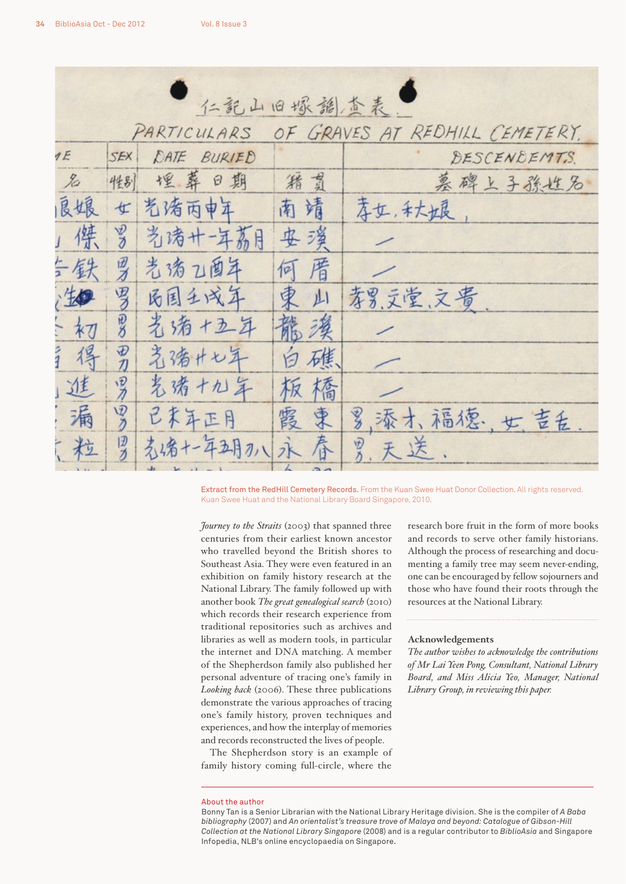| 仁說山旧塚韻查表。                                     |                |             |    |                 |
|-----------------------------------------------|----------------|-------------|----|-----------------|
| OF GRAVES AT REDHILL CEMETERY.<br>PARTICULARS |                |             |    |                 |
| 1E                                            | SEX            | DATE BURIED |    | DESCENDEMTS.    |
| $\chi$                                        | 性别             | 埋葬日期        | 猪肉 | 墓碑上子孫性名         |
| 良垠                                            | 女              | 老猪丙申年       | 南靖 | 李女, 和大姐         |
| 傑                                             | 罗              | 光清十-年荔月     | 安溪 |                 |
| 三铁                                            | 罗              | 光清乙酉年       | 何厝 |                 |
| 生                                             | 罗              | 丙国王戌年       | 東山 | 孝男,文堂、文贵        |
| 初                                             | $\frac{10}{5}$ | 光清+五年       | 龍漢 |                 |
| ライ<br>得                                       | 田刀             | 著猪+七年       | 白礁 |                 |
| 進                                             | 罗              | 芜诺十九年       | 板橋 |                 |
| 漏                                             | 罗              | 已末年正月       | 霞東 | 罗.添才、福德; 世. 吉舌. |
| 广粒                                            | ロカ             | 光绪+-年五月2八永  | 春  | 员,天送.           |
|                                               |                |             |    |                 |

Extract from the RedHill Cemetery Records. From the Kuan Swee Huat Donor Collection. All rights reserved. Kuan Swee Huat and the National Library Board Singapore, 2010.

*Journey to the Straits* (2003) that spanned three centuries from their earliest known ancestor who travelled beyond the British shores to Southeast Asia. They were even featured in an exhibition on family history research at the National Library. The family followed up with another book *The great genealogical search* (2010) which records their research experience from traditional repositories such as archives and libraries as well as modern tools, in particular the internet and DNA matching. A member of the Shepherdson family also published her personal adventure of tracing one's family in *Looking back* (2006). These three publications demonstrate the various approaches of tracing one's family history, proven techniques and experiences, and how the interplay of memories and records reconstructed the lives of people.

The Shepherdson story is an example of family history coming full-circle, where the research bore fruit in the form of more books and records to serve other family historians. Although the process of researching and documenting a family tree may seem never-ending, one can be encouraged by fellow sojourners and those who have found their roots through the resources at the National Library.

### **Acknowledgements**

*The author wishes to acknowledge the contributions of Mr Lai Yeen Pong, Consultant, National Library Board, and Miss Alicia Yeo, Manager, National Library Group, in reviewing this paper.*

#### About the author

Bonny Tan is a Senior Librarian with the National Library Heritage division. She is the compiler of *A Baba bibliography* (2007) and *An orientalist's treasure trove of Malaya and beyond: Catalogue of Gibson-Hill Collection at the National Library Singapore* (2008) and is a regular contributor to *BiblioAsia* and Singapore Infopedia, NLB's online encyclopaedia on Singapore.